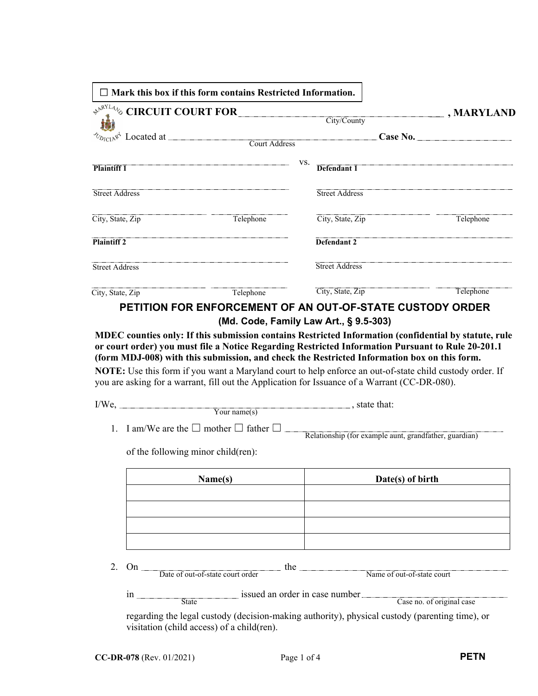|                       | $\Box$ Mark this box if this form contains Restricted Information. |                                                                                                                                                                                                                                                                                                          |                                                                                                       |
|-----------------------|--------------------------------------------------------------------|----------------------------------------------------------------------------------------------------------------------------------------------------------------------------------------------------------------------------------------------------------------------------------------------------------|-------------------------------------------------------------------------------------------------------|
|                       | $\triangle^{pX^{YL4}}$ % CIRCUIT COURT FOR                         | City/County                                                                                                                                                                                                                                                                                              | $\boxed{\blacksquare}$ , MARYLAND                                                                     |
|                       |                                                                    |                                                                                                                                                                                                                                                                                                          |                                                                                                       |
|                       |                                                                    |                                                                                                                                                                                                                                                                                                          | Case No.                                                                                              |
|                       |                                                                    | VS.                                                                                                                                                                                                                                                                                                      |                                                                                                       |
| <b>Plaintiff 1</b>    |                                                                    | Defendant 1                                                                                                                                                                                                                                                                                              |                                                                                                       |
| Street Address        |                                                                    | <b>Street Address</b>                                                                                                                                                                                                                                                                                    |                                                                                                       |
| City, State, Zip      | Telephone                                                          | City, State, Zip                                                                                                                                                                                                                                                                                         | Telephone                                                                                             |
| <b>Plaintiff 2</b>    |                                                                    | Defendant 2                                                                                                                                                                                                                                                                                              |                                                                                                       |
| <b>Street Address</b> |                                                                    | <b>Street Address</b>                                                                                                                                                                                                                                                                                    |                                                                                                       |
| City, State, Zip      | Telephone                                                          | City, State, Zip                                                                                                                                                                                                                                                                                         | Telephone                                                                                             |
|                       |                                                                    | (Md. Code, Family Law Art., § 9.5-303)                                                                                                                                                                                                                                                                   |                                                                                                       |
|                       |                                                                    | or court order) you must file a Notice Regarding Restricted Information Pursuant to Rule 20-201.1                                                                                                                                                                                                        | MDEC counties only: If this submission contains Restricted Information (confidential by statute, rule |
|                       |                                                                    | (form MDJ-008) with this submission, and check the Restricted Information box on this form.<br>NOTE: Use this form if you want a Maryland court to help enforce an out-of-state child custody order. If<br>you are asking for a warrant, fill out the Application for Issuance of a Warrant (CC-DR-080). |                                                                                                       |
|                       |                                                                    |                                                                                                                                                                                                                                                                                                          |                                                                                                       |
|                       | $\overline{\text{Your name}(s)}$                                   |                                                                                                                                                                                                                                                                                                          |                                                                                                       |
| 1.                    | I am/We are the $\square$ mother $\square$ father $\square$ ____   | Relationship (for example aunt, grandfather, guardian)                                                                                                                                                                                                                                                   |                                                                                                       |
|                       | of the following minor child(ren):                                 |                                                                                                                                                                                                                                                                                                          |                                                                                                       |
|                       | Name(s)                                                            |                                                                                                                                                                                                                                                                                                          | Date(s) of birth                                                                                      |
|                       |                                                                    |                                                                                                                                                                                                                                                                                                          |                                                                                                       |
|                       |                                                                    |                                                                                                                                                                                                                                                                                                          |                                                                                                       |
|                       |                                                                    |                                                                                                                                                                                                                                                                                                          |                                                                                                       |
| 2.                    | Date of out-of-state court order                                   | the $\sqrt{ }$                                                                                                                                                                                                                                                                                           | Name of out-of-state court                                                                            |

regarding the legal custody (decision-making authority), physical custody (parenting time), or visitation (child access) of a child(ren).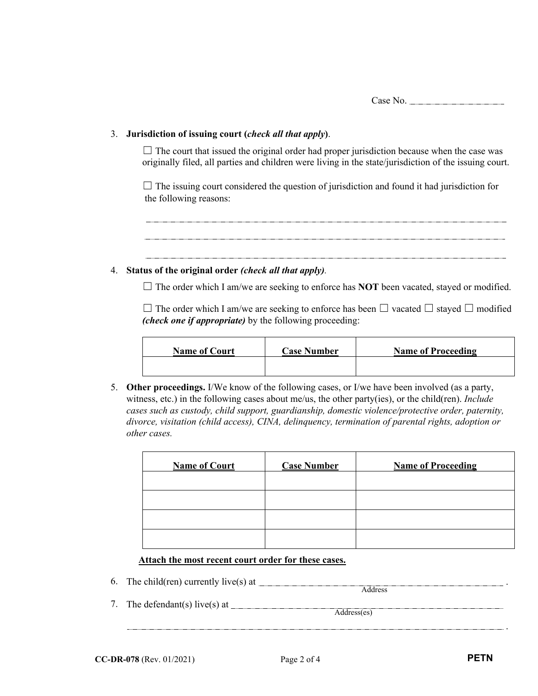Case No.

## 3. **Jurisdiction of issuing court (***check all that apply***)**.

 $\Box$  The court that issued the original order had proper jurisdiction because when the case was originally filed, all parties and children were living in the state/jurisdiction of the issuing court.

 $\Box$  The issuing court considered the question of jurisdiction and found it had jurisdiction for the following reasons:

## 4. **Status of the original order** *(check all that apply).*

 $\Box$  The order which I am/we are seeking to enforce has **NOT** been vacated, stayed or modified.

☐ The order which I am/we are seeking to enforce has been ☐ vacated ☐ stayed ☐ modified *(check one if appropriate)* by the following proceeding:

| <b>Name of Court</b> | <b>Case Number</b> | <b>Name of Proceeding</b> |
|----------------------|--------------------|---------------------------|
|                      |                    |                           |

5. **Other proceedings.** I/We know of the following cases, or I/we have been involved (as a party, witness, etc.) in the following cases about me/us, the other party(ies), or the child(ren). *Include cases such as custody, child support, guardianship, domestic violence/protective order, paternity, divorce, visitation (child access), CINA, delinquency, termination of parental rights, adoption or other cases.*

| <b>Name of Court</b> | <b>Case Number</b> | <b>Name of Proceeding</b> |
|----------------------|--------------------|---------------------------|
|                      |                    |                           |
|                      |                    |                           |
|                      |                    |                           |
|                      |                    |                           |

## **Attach the most recent court order for these cases.**

6. The child(ren) currently live(s) at  $\frac{1}{\sqrt{2\pi}}$ 

| $\sim$ . | $\frac{1}{2}$ and $\frac{1}{2}$ and $\frac{1}{2}$ and $\frac{1}{2}$ and $\frac{1}{2}$ and $\frac{1}{2}$ and $\frac{1}{2}$ and $\frac{1}{2}$ and $\frac{1}{2}$ and $\frac{1}{2}$ and $\frac{1}{2}$ and $\frac{1}{2}$ and $\frac{1}{2}$ and $\frac{1}{2}$ and $\frac{1}{2}$ and $\frac{1}{2}$ a |  |
|----------|-----------------------------------------------------------------------------------------------------------------------------------------------------------------------------------------------------------------------------------------------------------------------------------------------|--|
|          | 7. The defendant(s) live(s) at                                                                                                                                                                                                                                                                |  |
|          |                                                                                                                                                                                                                                                                                               |  |

.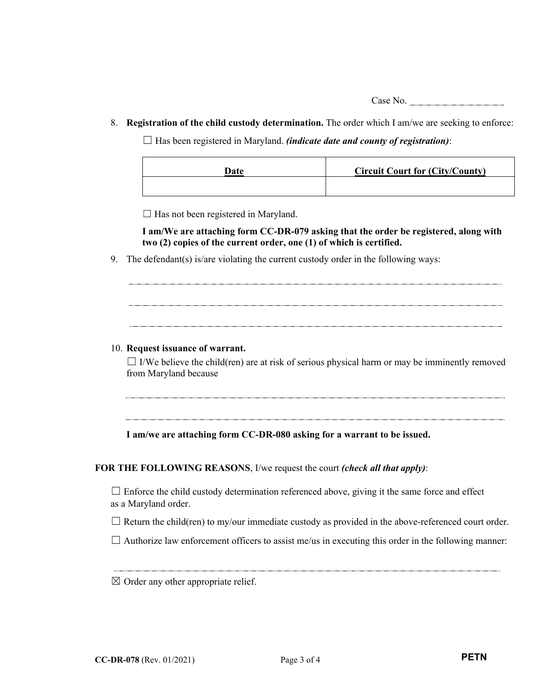Case No.

8. **Registration of the child custody determination.** The order which I am/we are seeking to enforce:

 $\Box$  Has been registered in Maryland. *(indicate date and county of registration)*:

| Date | <b>Circuit Court for (City/County)</b> |
|------|----------------------------------------|
|      |                                        |

 $\Box$  Has not been registered in Maryland.

**I am/We are attaching form CC-DR-079 asking that the order be registered, along with two (2) copies of the current order, one (1) of which is certified.** 

9. The defendant(s) is/are violating the current custody order in the following ways:

## 10. **Request issuance of warrant.**

 $\Box$  I/We believe the child(ren) are at risk of serious physical harm or may be imminently removed from Maryland because

**I am/we are attaching form CC-DR-080 asking for a warrant to be issued.** 

**FOR THE FOLLOWING REASONS**, I/we request the court *(check all that apply)*:

 $\Box$  Enforce the child custody determination referenced above, giving it the same force and effect as a Maryland order.

 $\Box$  Return the child(ren) to my/our immediate custody as provided in the above-referenced court order.

 $\Box$  Authorize law enforcement officers to assist me/us in executing this order in the following manner:

 $\boxtimes$  Order any other appropriate relief.